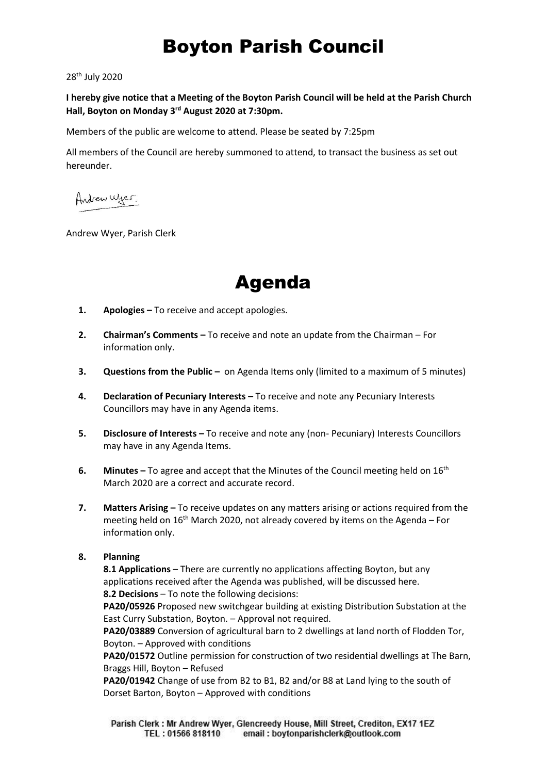## Boyton Parish Council

28 th July 2020

**I hereby give notice that a Meeting of the Boyton Parish Council will be held at the Parish Church Hall, Boyton on Monday 3rd August 2020 at 7:30pm.**

Members of the public are welcome to attend. Please be seated by 7:25pm

All members of the Council are hereby summoned to attend, to transact the business as set out hereunder.

Andrew Wyer.

Andrew Wyer, Parish Clerk



- **1. Apologies –** To receive and accept apologies.
- **2. Chairman's Comments –** To receive and note an update from the Chairman For information only.
- **3. Questions from the Public** on Agenda Items only (limited to a maximum of 5 minutes)
- **4. Declaration of Pecuniary Interests –** To receive and note any Pecuniary Interests Councillors may have in any Agenda items.
- **5. Disclosure of Interests –** To receive and note any (non- Pecuniary) Interests Councillors may have in any Agenda Items.
- **6. Minutes** To agree and accept that the Minutes of the Council meeting held on 16<sup>th</sup> March 2020 are a correct and accurate record.
- **7.** Matters Arising To receive updates on any matters arising or actions required from the meeting held on  $16<sup>th</sup>$  March 2020, not already covered by items on the Agenda – For information only.

### **8. Planning**

**8.1 Applications** – There are currently no applications affecting Boyton, but any applications received after the Agenda was published, will be discussed here. **8.2 Decisions** – To note the following decisions:

**PA20/05926** Proposed new switchgear building at existing Distribution Substation at the East Curry Substation, Boyton. – Approval not required.

**PA20/03889** Conversion of agricultural barn to 2 dwellings at land north of Flodden Tor, Boyton. – Approved with conditions

**PA20/01572** Outline permission for construction of two residential dwellings at The Barn, Braggs Hill, Boyton – Refused

**PA20/01942** Change of use from B2 to B1, B2 and/or B8 at Land lying to the south of Dorset Barton, Boyton – Approved with conditions